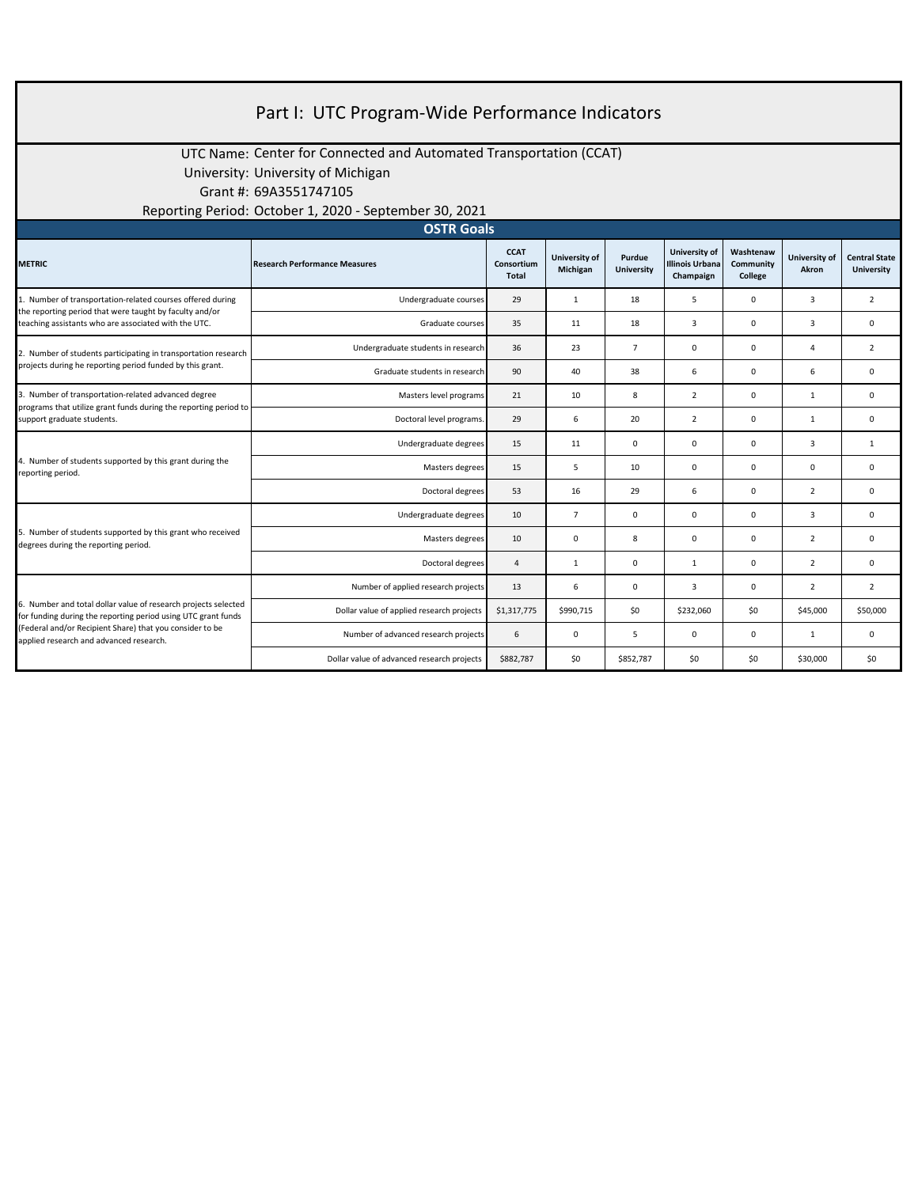| Part I: UTC Program-Wide Performance Indicators                                                                                                                                                                                        |                                                                    |                                    |                           |                             |                                               |                                   |                        |                                           |  |
|----------------------------------------------------------------------------------------------------------------------------------------------------------------------------------------------------------------------------------------|--------------------------------------------------------------------|------------------------------------|---------------------------|-----------------------------|-----------------------------------------------|-----------------------------------|------------------------|-------------------------------------------|--|
|                                                                                                                                                                                                                                        | UTC Name: Center for Connected and Automated Transportation (CCAT) |                                    |                           |                             |                                               |                                   |                        |                                           |  |
|                                                                                                                                                                                                                                        | University: University of Michigan                                 |                                    |                           |                             |                                               |                                   |                        |                                           |  |
|                                                                                                                                                                                                                                        | Grant #: 69A3551747105                                             |                                    |                           |                             |                                               |                                   |                        |                                           |  |
|                                                                                                                                                                                                                                        | Reporting Period: October 1, 2020 - September 30, 2021             |                                    |                           |                             |                                               |                                   |                        |                                           |  |
| <b>OSTR Goals</b>                                                                                                                                                                                                                      |                                                                    |                                    |                           |                             |                                               |                                   |                        |                                           |  |
| <b>METRIC</b>                                                                                                                                                                                                                          | <b>Research Performance Measures</b>                               | <b>CCAT</b><br>Consortium<br>Total | University of<br>Michigan | Purdue<br><b>University</b> | University of<br>Illinois Urbana<br>Champaign | Washtenaw<br>Community<br>College | University of<br>Akron | <b>Central State</b><br><b>University</b> |  |
| 1. Number of transportation-related courses offered during<br>the reporting period that were taught by faculty and/or<br>teaching assistants who are associated with the UTC.                                                          | Undergraduate courses                                              | 29                                 | $\mathbf{1}$              | 18                          | 5                                             | $\mathbf 0$                       | $\overline{3}$         | $\overline{2}$                            |  |
|                                                                                                                                                                                                                                        | Graduate courses                                                   | 35                                 | 11                        | 18                          | $\overline{3}$                                | $\mathbf 0$                       | $\overline{3}$         | $\mathbf{0}$                              |  |
| 2. Number of students participating in transportation research<br>projects during he reporting period funded by this grant.                                                                                                            | Undergraduate students in research                                 | 36                                 | 23                        | $\overline{7}$              | $\mathbf 0$                                   | $\mathbf 0$                       | $\overline{4}$         | 2                                         |  |
|                                                                                                                                                                                                                                        | Graduate students in research                                      | 90                                 | 40                        | 38                          | 6                                             | $\mathbf 0$                       | 6                      | $\mathbf 0$                               |  |
| 3. Number of transportation-related advanced degree<br>programs that utilize grant funds during the reporting period to<br>support graduate students.                                                                                  | Masters level programs                                             | 21                                 | 10                        | 8                           | $\overline{2}$                                | $\mathsf 0$                       | $\mathbf{1}$           | $\mathsf 0$                               |  |
|                                                                                                                                                                                                                                        | Doctoral level programs.                                           | 29                                 | 6                         | 20                          | $\overline{2}$                                | 0                                 | $\mathbf{1}$           | $\mathsf 0$                               |  |
| 4. Number of students supported by this grant during the<br>reporting period.                                                                                                                                                          | Undergraduate degrees                                              | 15                                 | 11                        | $\mathbf 0$                 | $\mathbf 0$                                   | $\mathsf 0$                       | 3                      | 1                                         |  |
|                                                                                                                                                                                                                                        | Masters degrees                                                    | 15                                 | 5                         | 10                          | $\mathbf 0$                                   | $\mathsf 0$                       | $\mathbf 0$            | 0                                         |  |
|                                                                                                                                                                                                                                        | Doctoral degrees                                                   | 53                                 | 16                        | 29                          | 6                                             | $\mathbf 0$                       | $\overline{2}$         | $\mathbf 0$                               |  |
| 5. Number of students supported by this grant who received<br>degrees during the reporting period.                                                                                                                                     | Undergraduate degrees                                              | 10                                 | $\overline{7}$            | $\mathbf 0$                 | $\mathbf 0$                                   | $\mathbf 0$                       | $\overline{3}$         | $\mathbf{0}$                              |  |
|                                                                                                                                                                                                                                        | Masters degrees                                                    | 10                                 | $\mathsf 0$               | 8                           | $\mathsf 0$                                   | $\mathsf 0$                       | $\overline{2}$         | $\mathsf 0$                               |  |
|                                                                                                                                                                                                                                        | Doctoral degrees                                                   | $\overline{4}$                     | $\mathbf{1}$              | 0                           | $\mathbf{1}$                                  | 0                                 | $\overline{2}$         | $\mathbf{0}$                              |  |
| 6. Number and total dollar value of research projects selected<br>for funding during the reporting period using UTC grant funds<br>(Federal and/or Recipient Share) that you consider to be<br>applied research and advanced research. | Number of applied research projects                                | 13                                 | 6                         | $\mathbf 0$                 | $\overline{3}$                                | $\mathbf 0$                       | $\overline{2}$         | $\overline{2}$                            |  |
|                                                                                                                                                                                                                                        | Dollar value of applied research projects                          | \$1,317,775                        | \$990,715                 | \$0                         | \$232,060                                     | \$0                               | \$45,000               | \$50,000                                  |  |
|                                                                                                                                                                                                                                        | Number of advanced research projects                               | 6                                  | $\mathbf 0$               | 5                           | $\mathbf 0$                                   | $\mathbf 0$                       | $\mathbf{1}$           | $\mathbf 0$                               |  |
|                                                                                                                                                                                                                                        | Dollar value of advanced research projects                         | \$882,787                          | \$0                       | \$852,787                   | \$0                                           | \$0                               | \$30,000               | \$0                                       |  |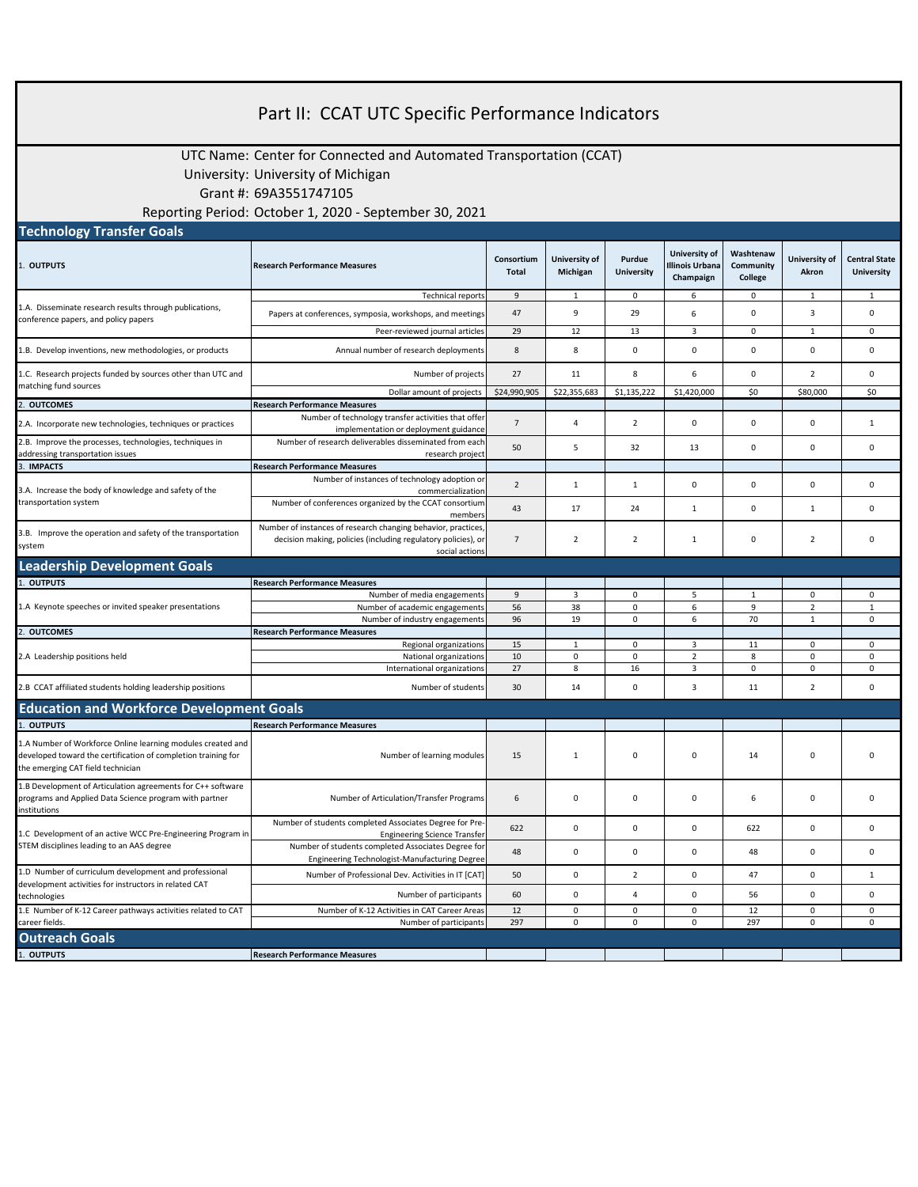| Part II: CCAT UTC Specific Performance Indicators                                                                                                               |                                                                                                                               |                            |                           |                             |                                                             |                                   |                        |                                           |  |
|-----------------------------------------------------------------------------------------------------------------------------------------------------------------|-------------------------------------------------------------------------------------------------------------------------------|----------------------------|---------------------------|-----------------------------|-------------------------------------------------------------|-----------------------------------|------------------------|-------------------------------------------|--|
|                                                                                                                                                                 |                                                                                                                               |                            |                           |                             |                                                             |                                   |                        |                                           |  |
| UTC Name: Center for Connected and Automated Transportation (CCAT)                                                                                              |                                                                                                                               |                            |                           |                             |                                                             |                                   |                        |                                           |  |
| University: University of Michigan                                                                                                                              |                                                                                                                               |                            |                           |                             |                                                             |                                   |                        |                                           |  |
| Grant #: 69A3551747105                                                                                                                                          |                                                                                                                               |                            |                           |                             |                                                             |                                   |                        |                                           |  |
|                                                                                                                                                                 |                                                                                                                               |                            |                           |                             |                                                             |                                   |                        |                                           |  |
| Reporting Period: October 1, 2020 - September 30, 2021<br><b>Technology Transfer Goals</b>                                                                      |                                                                                                                               |                            |                           |                             |                                                             |                                   |                        |                                           |  |
|                                                                                                                                                                 |                                                                                                                               |                            |                           |                             |                                                             |                                   |                        |                                           |  |
| 1. OUTPUTS                                                                                                                                                      | <b>Research Performance Measures</b>                                                                                          | Consortium<br><b>Total</b> | University of<br>Michigan | Purdue<br><b>University</b> | <b>University of</b><br><b>Illinois Urbana</b><br>Champaign | Washtenaw<br>Community<br>College | University of<br>Akron | <b>Central State</b><br><b>University</b> |  |
| 1.A. Disseminate research results through publications,                                                                                                         | <b>Technical reports</b>                                                                                                      | 9                          | 1                         | 0                           | 6                                                           | 0                                 | 1                      | 1                                         |  |
| conference papers, and policy papers                                                                                                                            | Papers at conferences, symposia, workshops, and meetings                                                                      | 47                         | 9                         | 29                          | 6                                                           | 0                                 | 3                      | 0                                         |  |
|                                                                                                                                                                 | Peer-reviewed journal articles                                                                                                | 29                         | 12                        | 13                          | $\overline{3}$                                              | $\mathbf 0$                       | $\mathbf{1}$           | 0                                         |  |
| 1.B. Develop inventions, new methodologies, or products                                                                                                         | Annual number of research deployments                                                                                         | 8                          | 8                         | 0                           | $\mathbf 0$                                                 | $\mathsf 0$                       | $\mathbf 0$            | 0                                         |  |
| 1.C. Research projects funded by sources other than UTC and                                                                                                     | Number of projects                                                                                                            | 27                         | 11                        | 8                           | 6                                                           | $\mathsf 0$                       | $\overline{2}$         | $\mathsf 0$                               |  |
| matching fund sources                                                                                                                                           | Dollar amount of projects                                                                                                     | \$24,990,905               | \$22,355,683              | \$1,135,222                 | \$1,420,000                                                 | \$0                               | \$80,000               | \$0                                       |  |
| 2. OUTCOMES                                                                                                                                                     | <b>Research Performance Measures</b>                                                                                          |                            |                           |                             |                                                             |                                   |                        |                                           |  |
| 2.A. Incorporate new technologies, techniques or practices                                                                                                      | Number of technology transfer activities that offer<br>implementation or deployment guidance                                  | $\overline{7}$             | 4                         | $\overline{2}$              | 0                                                           | $\mathsf 0$                       | $\mathsf 0$            | $\mathbf{1}$                              |  |
| 2.B. Improve the processes, technologies, techniques in<br>addressing transportation issues                                                                     | Number of research deliverables disseminated from each<br>research project                                                    | 50                         | 5                         | 32                          | 13                                                          | $\mathbf 0$                       | $\mathbf 0$            | $\mathbf 0$                               |  |
| 3. IMPACTS                                                                                                                                                      | <b>Research Performance Measures</b>                                                                                          |                            |                           |                             |                                                             |                                   |                        |                                           |  |
|                                                                                                                                                                 | Number of instances of technology adoption or                                                                                 | $\overline{2}$             | 1                         | 1                           | 0                                                           | 0                                 | $\mathbf 0$            | 0                                         |  |
| 3.A. Increase the body of knowledge and safety of the<br>transportation system                                                                                  | commercialization<br>Number of conferences organized by the CCAT consortium                                                   |                            |                           |                             |                                                             |                                   |                        |                                           |  |
|                                                                                                                                                                 | members                                                                                                                       | 43                         | 17                        | 24                          | 1                                                           | $\mathsf 0$                       | $\mathbf{1}$           | 0                                         |  |
| 3.B. Improve the operation and safety of the transportation<br>system                                                                                           | Number of instances of research changing behavior, practices<br>decision making, policies (including regulatory policies), or | $\overline{7}$             | 2                         | $\overline{2}$              | 1                                                           | 0                                 | $\overline{2}$         | 0                                         |  |
| <b>Leadership Development Goals</b>                                                                                                                             | social actions                                                                                                                |                            |                           |                             |                                                             |                                   |                        |                                           |  |
| <b>OUTPUTS</b>                                                                                                                                                  | <b>Research Performance Measures</b>                                                                                          |                            |                           |                             |                                                             |                                   |                        |                                           |  |
|                                                                                                                                                                 | Number of media engagements                                                                                                   | 9                          | 3                         | 0                           | 5                                                           | $\mathbf{1}$                      | $\mathsf 0$            | 0                                         |  |
| 1.A Keynote speeches or invited speaker presentations                                                                                                           | Number of academic engagements                                                                                                | 56                         | 38                        | $\mathbf 0$                 | 6                                                           | 9                                 | $\overline{2}$         | $\mathbf{1}$                              |  |
| <b>OUTCOMES</b>                                                                                                                                                 | Number of industry engagements<br><b>Research Performance Measures</b>                                                        | 96                         | 19                        | $\mathbf 0$                 | 6                                                           | 70                                | $\mathbf{1}$           | 0                                         |  |
| 2.A Leadership positions held                                                                                                                                   | Regional organizations                                                                                                        | 15                         | $\mathbf{1}$              | $\mathsf 0$                 | $\mathbf{3}$                                                | 11                                | $\mathsf 0$            | 0                                         |  |
|                                                                                                                                                                 | National organizations                                                                                                        | 10                         | 0                         | $\mathbf 0$                 | $\overline{2}$                                              | 8                                 | $\mathsf 0$            | $\mathsf 0$                               |  |
|                                                                                                                                                                 | International organizations                                                                                                   | 27                         | 8                         | 16                          | $\mathbf{3}$                                                | $\mathbf 0$                       | $\mathsf 0$            | $\mathsf 0$                               |  |
| 2.B CCAT affiliated students holding leadership positions                                                                                                       | Number of students                                                                                                            | 30                         | 14                        | 0                           | 3                                                           | 11                                | $\overline{2}$         | $\mathsf 0$                               |  |
| <b>Education and Workforce Development Goals</b>                                                                                                                |                                                                                                                               |                            |                           |                             |                                                             |                                   |                        |                                           |  |
| <b>OUTPUTS</b>                                                                                                                                                  | <b>Research Performance Measures</b>                                                                                          |                            |                           |                             |                                                             |                                   |                        |                                           |  |
| A Number of Workforce Online learning modules created and<br>developed toward the certification of completion training for<br>the emerging CAT field technician | Number of learning modules                                                                                                    | 15                         | $1\,$                     | 0                           | 0                                                           | 14                                | $\pmb{0}$              | $\pmb{0}$                                 |  |
| 1.B Development of Articulation agreements for C++ software<br>programs and Applied Data Science program with partner<br>institutions                           | Number of Articulation/Transfer Programs                                                                                      | 6                          | $\pmb{0}$                 | 0                           | $\mathsf 0$                                                 | 6                                 | $\mathbf 0$            | 0                                         |  |
| 1.C Development of an active WCC Pre-Engineering Program in                                                                                                     | Number of students completed Associates Degree for Pre-<br><b>Engineering Science Transfer</b>                                | 622                        | 0                         | 0                           | $\mathsf 0$                                                 | 622                               | $\mathbf 0$            | $\mathsf{O}\xspace$                       |  |
| STEM disciplines leading to an AAS degree                                                                                                                       | Number of students completed Associates Degree for                                                                            | 48                         | $\pmb{0}$                 | 0                           | $\mathsf 0$                                                 | 48                                | $\mathsf 0$            | 0                                         |  |
| 1.D Number of curriculum development and professional                                                                                                           | Engineering Technologist-Manufacturing Degree<br>Number of Professional Dev. Activities in IT [CAT]                           | 50                         | 0                         | $\overline{2}$              | $\mathsf 0$                                                 | 47                                | 0                      | $\mathbf{1}$                              |  |
| development activities for instructors in related CAT<br>technologies                                                                                           | Number of participants                                                                                                        | 60                         | 0                         | 4                           | 0                                                           | 56                                | $\mathbf 0$            | $\mathsf{O}\xspace$                       |  |
| 1.E Number of K-12 Career pathways activities related to CAT                                                                                                    | Number of K-12 Activities in CAT Career Areas                                                                                 | 12                         | 0                         | 0                           | $\mathbf 0$                                                 | 12                                | 0                      | $\mathsf{O}\xspace$                       |  |
| career fields.                                                                                                                                                  | Number of participants                                                                                                        | 297                        | $\mathsf 0$               | $\mathsf 0$                 | $\mathsf 0$                                                 | 297                               | $\mathsf 0$            | 0                                         |  |
| <b>Outreach Goals</b>                                                                                                                                           |                                                                                                                               |                            |                           |                             |                                                             |                                   |                        |                                           |  |
| 1. OUTPUTS                                                                                                                                                      | <b>Research Performance Measures</b>                                                                                          |                            |                           |                             |                                                             |                                   |                        |                                           |  |